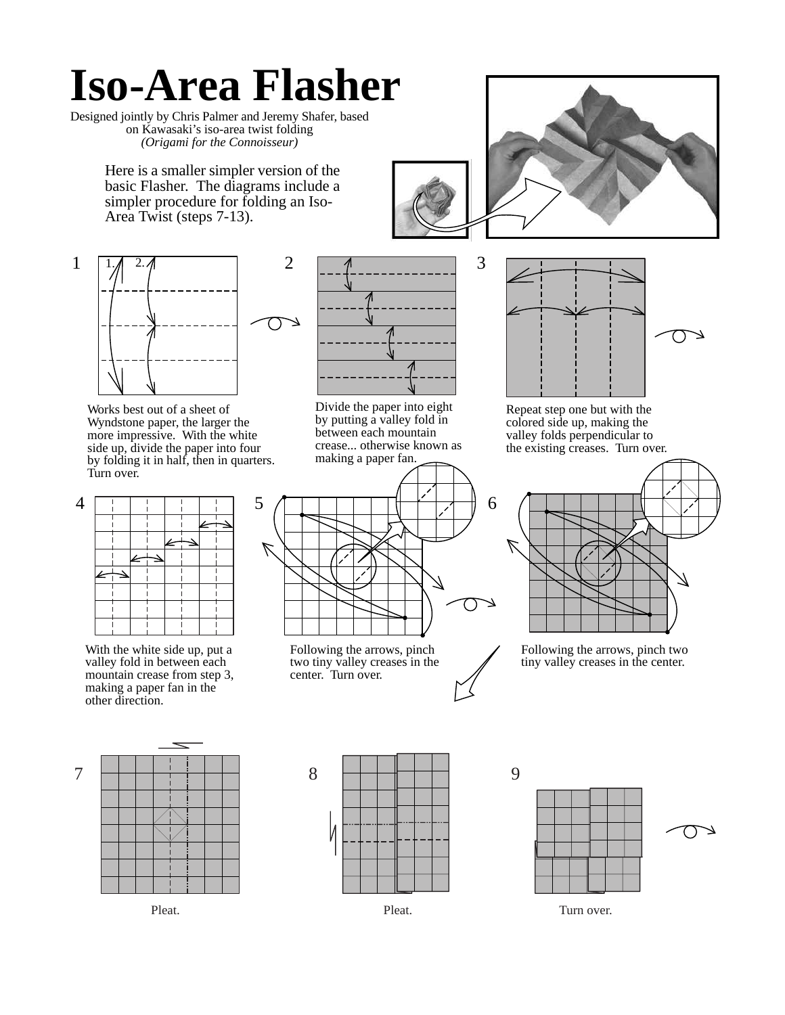## **Iso-Area Flasher**

Designed jointly by Chris Palmer and Jeremy Shafer, based on Kawasaki's iso-area twist folding *(Origami for the Connoisseur)*

> Here is a smaller simpler version of the basic Flasher. The diagrams include a simpler procedure for folding an Iso-Area Twist (steps 7-13).



Works best out of a sheet of Wyndstone paper, the larger the more impressive. With the white side up, divide the paper into four by folding it in half, then in quarters. Turn over.



With the white side up, put a valley fold in between each mountain crease from step 3, making a paper fan in the other direction.



Divide the paper into eight by putting a valley fold in between each mountain crease... otherwise known as making a paper fan.



Following the arrows, pinch two tiny valley creases in the center. Turn over.





Repeat step one but with the colored side up, making the valley folds perpendicular to the existing creases. Turn over.



Following the arrows, pinch two tiny valley creases in the center.